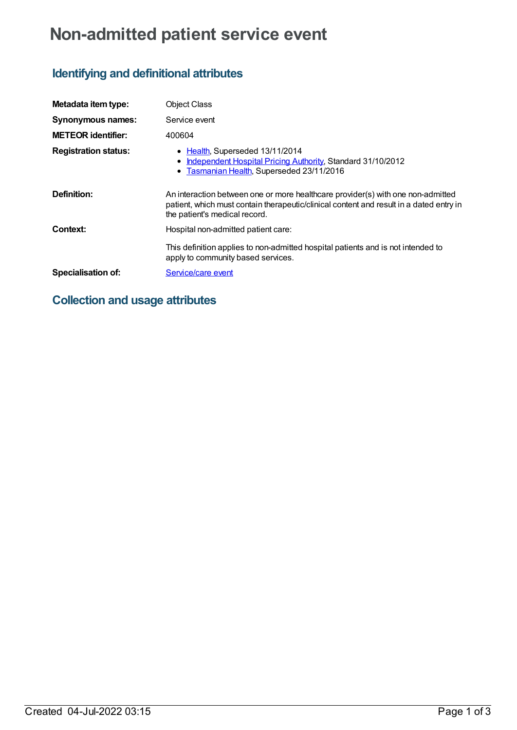# **Non-admitted patient service event**

## **Identifying and definitional attributes**

| Metadata item type:         | <b>Object Class</b>                                                                                                                                                                                         |
|-----------------------------|-------------------------------------------------------------------------------------------------------------------------------------------------------------------------------------------------------------|
| <b>Synonymous names:</b>    | Service event                                                                                                                                                                                               |
| <b>METEOR identifier:</b>   | 400604                                                                                                                                                                                                      |
| <b>Registration status:</b> | • Health, Superseded 13/11/2014<br>Independent Hospital Pricing Authority, Standard 31/10/2012<br>• Tasmanian Health, Superseded 23/11/2016                                                                 |
| Definition:                 | An interaction between one or more healthcare provider(s) with one non-admitted<br>patient, which must contain therapeutic/clinical content and result in a dated entry in<br>the patient's medical record. |
| Context:                    | Hospital non-admitted patient care:                                                                                                                                                                         |
|                             | This definition applies to non-admitted hospital patients and is not intended to<br>apply to community based services.                                                                                      |
| <b>Specialisation of:</b>   | Service/care event                                                                                                                                                                                          |

### **Collection and usage attributes**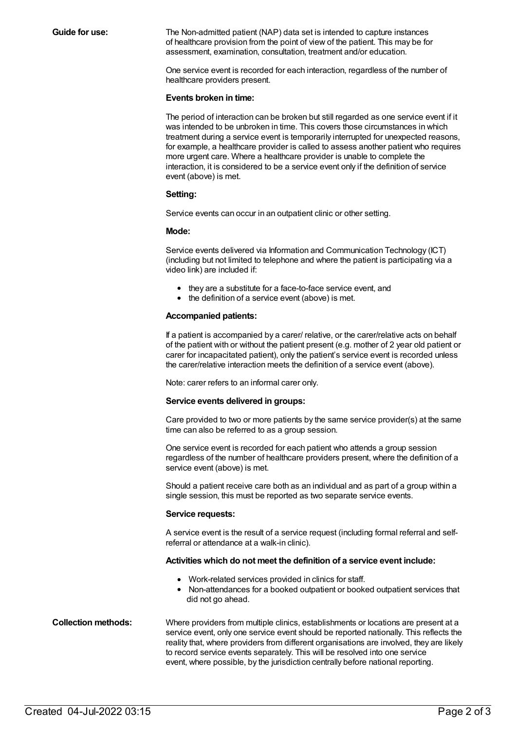**Guide for use:** The Non-admitted patient (NAP) data set is intended to capture instances of healthcare provision from the point of view of the patient. This may be for assessment, examination, consultation, treatment and/or education.

> One service event is recorded for each interaction, regardless of the number of healthcare providers present.

#### **Events broken in time:**

The period of interaction can be broken but still regarded as one service event if it was intended to be unbroken in time. This covers those circumstances in which treatment during a service event is temporarily interrupted for unexpected reasons, for example, a healthcare provider is called to assess another patient who requires more urgent care. Where a healthcare provider is unable to complete the interaction, it is considered to be a service event only if the definition of service event (above) is met.

#### **Setting:**

Service events can occur in an outpatient clinic or other setting.

### **Mode:**

Service events delivered via Information and Communication Technology (ICT) (including but not limited to telephone and where the patient is participating via a video link) are included if:

- they are a substitute for a face-to-face service event, and
- the definition of a service event (above) is met.

### **Accompanied patients:**

If a patient is accompanied by a carer/ relative, or the carer/relative acts on behalf of the patient with or without the patient present (e.g. mother of 2 year old patient or carer for incapacitated patient), only the patient's service event is recorded unless the carer/relative interaction meets the definition of a service event (above).

Note: carer refers to an informal carer only.

### **Service events delivered in groups:**

Care provided to two or more patients by the same service provider(s) at the same time can also be referred to as a group session.

One service event is recorded for each patient who attends a group session regardless of the number of healthcare providers present, where the definition of a service event (above) is met.

Should a patient receive care both as an individual and as part of a group within a single session, this must be reported as two separate service events.

#### **Service requests:**

A service event is the result of a service request (including formal referral and selfreferral or attendance at a walk-in clinic).

### **Activities which do not meet the definition of a service event include:**

- Work-related services provided in clinics for staff.
- Non-attendances for a booked outpatient or booked outpatient services that did not go ahead.

**Collection methods:** Where providers from multiple clinics, establishments or locations are present at a service event, only one service event should be reported nationally. This reflects the reality that, where providers from different organisations are involved, they are likely to record service events separately. This will be resolved into one service event, where possible, by the jurisdiction centrally before national reporting.